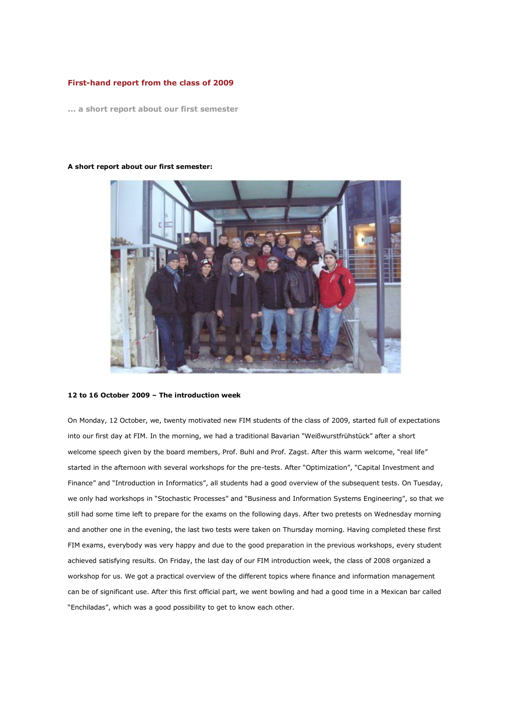# **First-hand report from the class of 2009**

**... a short report about our first semester**

### **A short report about our first semester:**

## **12 to 16 October 2009 – The introduction week**

On Monday, 12 October, we, twenty motivated new FIM students of the class of 2009, started full of expectations into our first day at FIM. In the morning, we had a traditional Bavarian "Weißwurstfrühstück" after a short welcome speech given by the board members, Prof. Buhl and Prof. Zagst. After this warm welcome, "real life" started in the afternoon with several workshops for the pre-tests. After "Optimization", "Capital Investment and Finance" and "Introduction in Informatics", all students had a good overview of the subsequent tests. On Tuesday, we only had workshops in "Stochastic Processes" and "Business and Information Systems Engineering", so that we still had some time left to prepare for the exams on the following days. After two pretests on Wednesday morning and another one in the evening, the last two tests were taken on Thursday morning. Having completed these first FIM exams, everybody was very happy and due to the good preparation in the previous workshops, every student achieved satisfying results. On Friday, the last day of our FIM introduction week, the class of 2008 organized a workshop for us. We got a practical overview of the different topics where finance and information management can be of significant use. After this first official part, we went bowling and had a good time in a Mexican bar called "Enchiladas", which was a good possibility to get to know each other.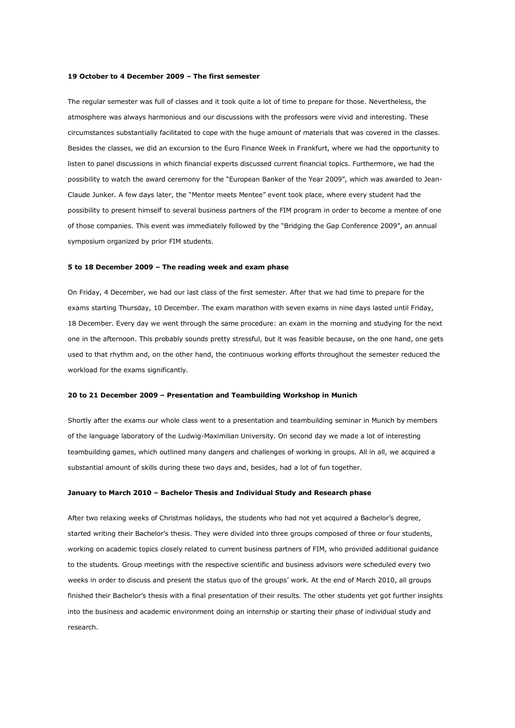## **19 October to 4 December 2009 – The first semester**

The regular semester was full of classes and it took quite a lot of time to prepare for those. Nevertheless, the atmosphere was always harmonious and our discussions with the professors were vivid and interesting. These circumstances substantially facilitated to cope with the huge amount of materials that was covered in the classes. Besides the classes, we did an excursion to the Euro Finance Week in Frankfurt, where we had the opportunity to listen to panel discussions in which financial experts discussed current financial topics. Furthermore, we had the possibility to watch the award ceremony for the "European Banker of the Year 2009", which was awarded to Jean-Claude Junker. A few days later, the "Mentor meets Mentee" event took place, where every student had the possibility to present himself to several business partners of the FIM program in order to become a mentee of one of those companies. This event was immediately followed by the "Bridging the Gap Conference 2009", an annual symposium organized by prior FIM students.

#### **5 to 18 December 2009 – The reading week and exam phase**

On Friday, 4 December, we had our last class of the first semester. After that we had time to prepare for the exams starting Thursday, 10 December. The exam marathon with seven exams in nine days lasted until Friday, 18 December. Every day we went through the same procedure: an exam in the morning and studying for the next one in the afternoon. This probably sounds pretty stressful, but it was feasible because, on the one hand, one gets used to that rhythm and, on the other hand, the continuous working efforts throughout the semester reduced the workload for the exams significantly.

## **20 to 21 December 2009 – Presentation and Teambuilding Workshop in Munich**

Shortly after the exams our whole class went to a presentation and teambuilding seminar in Munich by members of the language laboratory of the Ludwig-Maximilian University. On second day we made a lot of interesting teambuilding games, which outlined many dangers and challenges of working in groups. All in all, we acquired a substantial amount of skills during these two days and, besides, had a lot of fun together.

## **January to March 2010 – Bachelor Thesis and Individual Study and Research phase**

After two relaxing weeks of Christmas holidays, the students who had not yet acquired a Bachelor's degree, started writing their Bachelor's thesis. They were divided into three groups composed of three or four students, working on academic topics closely related to current business partners of FIM, who provided additional guidance to the students. Group meetings with the respective scientific and business advisors were scheduled every two weeks in order to discuss and present the status quo of the groups' work. At the end of March 2010, all groups finished their Bachelor's thesis with a final presentation of their results. The other students yet got further insights into the business and academic environment doing an internship or starting their phase of individual study and research.